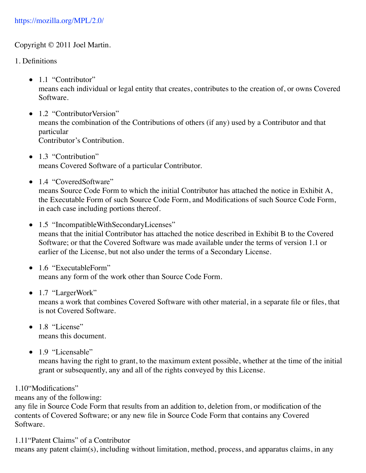#### Copyright © 2011 Joel Martin.

- 1. Definitions
	- 1.1 "Contributor" means each individual or legal entity that creates, contributes to the creation of, or owns Covered Software.
	- 1.2 "ContributorVersion" means the combination of the Contributions of others (if any) used by a Contributor and that particular Contributor's Contribution.
	- 1.3 "Contribution" means Covered Software of a particular Contributor.
	- 1.4 "CoveredSoftware"

means Source Code Form to which the initial Contributor has attached the notice in Exhibit A, the Executable Form of such Source Code Form, and Modifications of such Source Code Form, in each case including portions thereof.

- 1.5 "IncompatibleWithSecondaryLicenses" means that the initial Contributor has attached the notice described in Exhibit B to the Covered Software; or that the Covered Software was made available under the terms of version 1.1 or earlier of the License, but not also under the terms of a Secondary License.
- 1.6 "ExecutableForm" means any form of the work other than Source Code Form.
- 1.7 "LargerWork"

means a work that combines Covered Software with other material, in a separate file or files, that is not Covered Software.

- $\bullet$  1.8 "License" means this document.
- $\bullet$  1.9 "Licensable"

means having the right to grant, to the maximum extent possible, whether at the time of the initial grant or subsequently, any and all of the rights conveyed by this License.

## 1.10"Modifications"

means any of the following:

any file in Source Code Form that results from an addition to, deletion from, or modification of the contents of Covered Software; or any new file in Source Code Form that contains any Covered Software.

1.11"Patent Claims" of a Contributor

means any patent claim(s), including without limitation, method, process, and apparatus claims, in any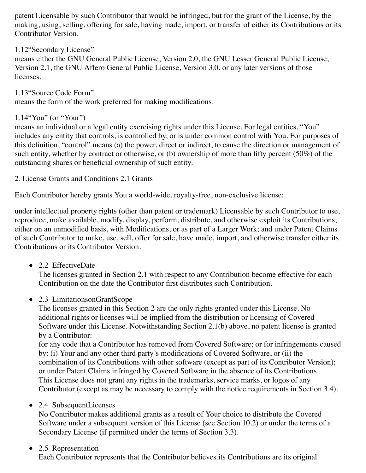patent Licensable by such Contributor that would be infringed, but for the grant of the License, by the making, using, selling, offering for sale, having made, import, or transfer of either its Contributions or its Contributor Version.

1.12"Secondary License"

means either the GNU General Public License, Version 2.0, the GNU Lesser General Public License, Version 2.1, the GNU Affero General Public License, Version 3.0, or any later versions of those licenses.

1.13"Source Code Form" means the form of the work preferred for making modifications.

# 1.14"You" (or "Your")

means an individual or a legal entity exercising rights under this License. For legal entities, "You" includes any entity that controls, is controlled by, or is under common control with You. For purposes of this definition, "control" means (a) the power, direct or indirect, to cause the direction or management of such entity, whether by contract or otherwise, or (b) ownership of more than fifty percent (50%) of the outstanding shares or beneficial ownership of such entity.

2. License Grants and Conditions 2.1 Grants

Each Contributor hereby grants You a world-wide, royalty-free, non-exclusive license:

under intellectual property rights (other than patent or trademark) Licensable by such Contributor to use, reproduce, make available, modify, display, perform, distribute, and otherwise exploit its Contributions, either on an unmodified basis, with Modifications, or as part of a Larger Work; and under Patent Claims of such Contributor to make, use, sell, offer for sale, have made, import, and otherwise transfer either its Contributions or its Contributor Version.

• 2.2 EffectiveDate

The licenses granted in Section 2.1 with respect to any Contribution become effective for each Contribution on the date the Contributor first distributes such Contribution.

• 2.3 LimitationsonGrantScope

The licenses granted in this Section 2 are the only rights granted under this License. No additional rights or licenses will be implied from the distribution or licensing of Covered Software under this License. Notwithstanding Section 2.1(b) above, no patent license is granted by a Contributor:

for any code that a Contributor has removed from Covered Software; or for infringements caused by: (i) Your and any other third party's modifications of Covered Software, or (ii) the combination of its Contributions with other software (except as part of its Contributor Version); or under Patent Claims infringed by Covered Software in the absence of its Contributions. This License does not grant any rights in the trademarks, service marks, or logos of any Contributor (except as may be necessary to comply with the notice requirements in Section 3.4).

## • 2.4 SubsequentLicenses

No Contributor makes additional grants as a result of Your choice to distribute the Covered Software under a subsequent version of this License (see Section 10.2) or under the terms of a Secondary License (if permitted under the terms of Section 3.3).

## • 2.5 Representation

Each Contributor represents that the Contributor believes its Contributions are its original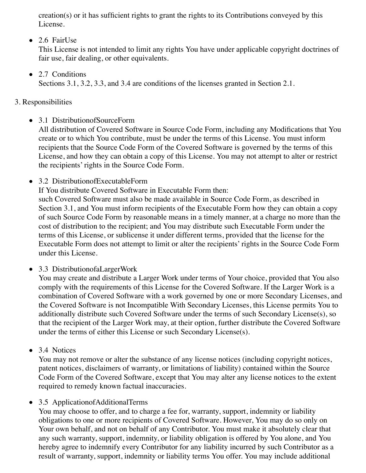creation(s) or it has sufficient rights to grant the rights to its Contributions conveyed by this License.

2.6 FairUse

This License is not intended to limit any rights You have under applicable copyright doctrines of fair use, fair dealing, or other equivalents.

• 2.7 Conditions

Sections 3.1, 3.2, 3.3, and 3.4 are conditions of the licenses granted in Section 2.1.

- 3. Responsibilities
	- 3.1 Distribution of Source Form

All distribution of Covered Software in Source Code Form, including any Modifications that You create or to which You contribute, must be under the terms of this License. You must inform recipients that the Source Code Form of the Covered Software is governed by the terms of this License, and how they can obtain a copy of this License. You may not attempt to alter or restrict the recipients' rights in the Source Code Form.

• 3.2 Distribution of Executable Form

If You distribute Covered Software in Executable Form then: such Covered Software must also be made available in Source Code Form, as described in Section 3.1, and You must inform recipients of the Executable Form how they can obtain a copy of such Source Code Form by reasonable means in a timely manner, at a charge no more than the cost of distribution to the recipient; and You may distribute such Executable Form under the terms of this License, or sublicense it under different terms, provided that the license for the Executable Form does not attempt to limit or alter the recipients' rights in the Source Code Form under this License.

• 3.3 Distribution of a Larger Work

You may create and distribute a Larger Work under terms of Your choice, provided that You also comply with the requirements of this License for the Covered Software. If the Larger Work is a combination of Covered Software with a work governed by one or more Secondary Licenses, and the Covered Software is not Incompatible With Secondary Licenses, this License permits You to additionally distribute such Covered Software under the terms of such Secondary License(s), so that the recipient of the Larger Work may, at their option, further distribute the Covered Software under the terms of either this License or such Secondary License(s).

• 3.4 Notices

You may not remove or alter the substance of any license notices (including copyright notices, patent notices, disclaimers of warranty, or limitations of liability) contained within the Source Code Form of the Covered Software, except that You may alter any license notices to the extent required to remedy known factual inaccuracies.

• 3.5 Application of Additional Terms

You may choose to offer, and to charge a fee for, warranty, support, indemnity or liability obligations to one or more recipients of Covered Software. However, You may do so only on Your own behalf, and not on behalf of any Contributor. You must make it absolutely clear that any such warranty, support, indemnity, or liability obligation is offered by You alone, and You hereby agree to indemnify every Contributor for any liability incurred by such Contributor as a result of warranty, support, indemnity or liability terms You offer. You may include additional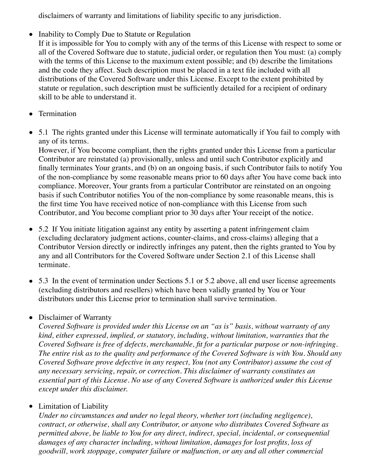disclaimers of warranty and limitations of liability specific to any jurisdiction.

• Inability to Comply Due to Statute or Regulation

If it is impossible for You to comply with any of the terms of this License with respect to some or all of the Covered Software due to statute, judicial order, or regulation then You must: (a) comply with the terms of this License to the maximum extent possible; and (b) describe the limitations and the code they affect. Such description must be placed in a text file included with all distributions of the Covered Software under this License. Except to the extent prohibited by statute or regulation, such description must be sufficiently detailed for a recipient of ordinary skill to be able to understand it.

- Termination
- 5.1 The rights granted under this License will terminate automatically if You fail to comply with any of its terms.

However, if You become compliant, then the rights granted under this License from a particular Contributor are reinstated (a) provisionally, unless and until such Contributor explicitly and finally terminates Your grants, and (b) on an ongoing basis, if such Contributor fails to notify You of the non-compliance by some reasonable means prior to 60 days after You have come back into compliance. Moreover, Your grants from a particular Contributor are reinstated on an ongoing basis if such Contributor notifies You of the non-compliance by some reasonable means, this is the first time You have received notice of non-compliance with this License from such Contributor, and You become compliant prior to 30 days after Your receipt of the notice.

- 5.2 If You initiate litigation against any entity by asserting a patent infringement claim (excluding declaratory judgment actions, counter-claims, and cross-claims) alleging that a Contributor Version directly or indirectly infringes any patent, then the rights granted to You by any and all Contributors for the Covered Software under Section 2.1 of this License shall terminate.
- 5.3 In the event of termination under Sections 5.1 or 5.2 above, all end user license agreements (excluding distributors and resellers) which have been validly granted by You or Your distributors under this License prior to termination shall survive termination.

## • Disclaimer of Warranty

*Covered Software is provided under this License on an "as is" basis, without warranty of any kind, either expressed, implied, or statutory, including, without limitation, warranties that the Covered Software is free of defects, merchantable, fit for a particular purpose or non-infringing. The entire risk as to the quality and performance of the Covered Software is with You. Should any Covered Software prove defective in any respect, You (not any Contributor) assume the cost of any necessary servicing, repair, or correction. This disclaimer of warranty constitutes an essential part of this License. No use of any Covered Software is authorized under this License except under this disclaimer.* 

## • Limitation of Liability

*Under no circumstances and under no legal theory, whether tort (including negligence), contract, or otherwise, shall any Contributor, or anyone who distributes Covered Software as permitted above, be liable to You for any direct, indirect, special, incidental, or consequential damages of any character including, without limitation, damages for lost profits, loss of goodwill, work stoppage, computer failure or malfunction, or any and all other commercial*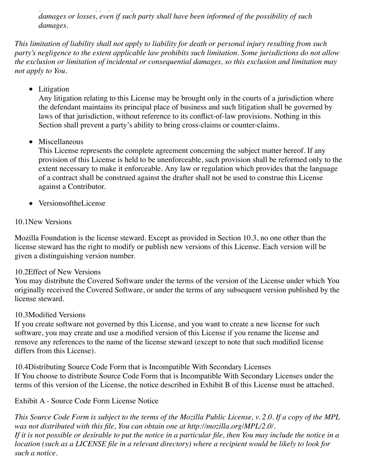*goodwill, work stoppage, computer failure or malfunction, or any and all other commercial damages or losses, even if such party shall have been informed of the possibility of such damages.* 

*This limitation of liability shall not apply to liability for death or personal injury resulting from such party's negligence to the extent applicable law prohibits such limitation. Some jurisdictions do not allow the exclusion or limitation of incidental or consequential damages, so this exclusion and limitation may not apply to You.*

• Litigation

Any litigation relating to this License may be brought only in the courts of a jurisdiction where the defendant maintains its principal place of business and such litigation shall be governed by laws of that jurisdiction, without reference to its conflict-of-law provisions. Nothing in this Section shall prevent a party's ability to bring cross-claims or counter-claims.

• Miscellaneous

This License represents the complete agreement concerning the subject matter hereof. If any provision of this License is held to be unenforceable, such provision shall be reformed only to the extent necessary to make it enforceable. Any law or regulation which provides that the language of a contract shall be construed against the drafter shall not be used to construe this License against a Contributor.

• VersionsoftheLicense

#### 10.1New Versions

Mozilla Foundation is the license steward. Except as provided in Section 10.3, no one other than the license steward has the right to modify or publish new versions of this License. Each version will be given a distinguishing version number.

#### 10.2Effect of New Versions

You may distribute the Covered Software under the terms of the version of the License under which You originally received the Covered Software, or under the terms of any subsequent version published by the license steward.

#### 10.3Modified Versions

If you create software not governed by this License, and you want to create a new license for such software, you may create and use a modified version of this License if you rename the license and remove any references to the name of the license steward (except to note that such modified license differs from this License).

10.4Distributing Source Code Form that is Incompatible With Secondary Licenses If You choose to distribute Source Code Form that is Incompatible With Secondary Licenses under the terms of this version of the License, the notice described in Exhibit B of this License must be attached.

Exhibit A - Source Code Form License Notice

*This Source Code Form is subject to the terms of the Mozilla Public License, v. 2.0. If a copy of the MPL was not distributed with this file, You can obtain one at http://mozilla.org/MPL/2.0/. If it is not possible or desirable to put the notice in a particular file, then You may include the notice in a location (such as a LICENSE file in a relevant directory) where a recipient would be likely to look for such a notice.*